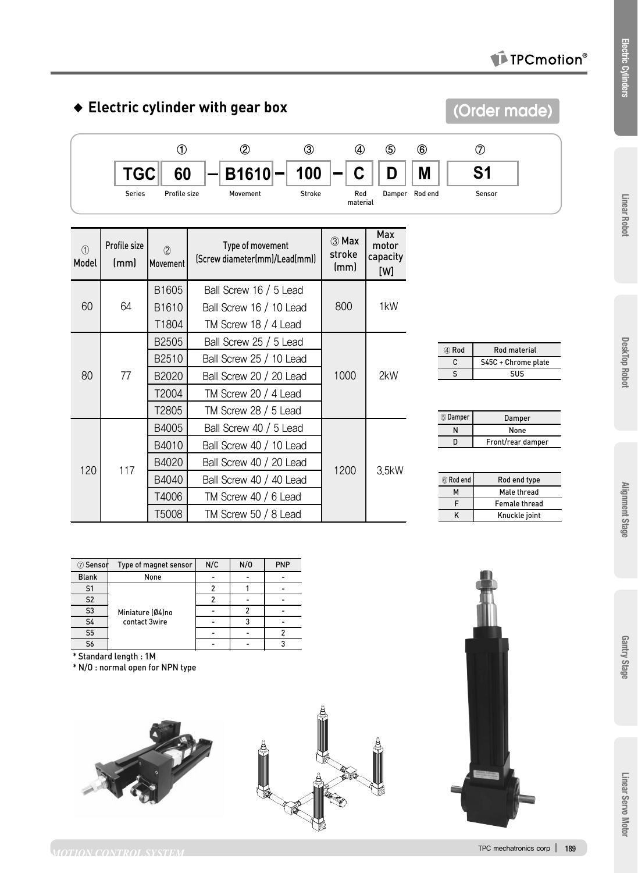### TPCmotion<sup>®</sup>

**(Order made)**

# ◆ **Electric cylinder with gear box**



| $\bigcirc$<br>Model | Profile size<br>(mm) | (2)<br>Movement               | Type of movement<br>(Screw diameter(mm)/Lead(mm)) | ③ Max<br>stroke<br>(mm) | Max<br>motor<br>capacity<br>[W] |
|---------------------|----------------------|-------------------------------|---------------------------------------------------|-------------------------|---------------------------------|
|                     | 64                   | B <sub>1605</sub>             | Ball Screw 16 / 5 Lead                            |                         | 1 <sub>k</sub> W                |
| 60                  |                      | B <sub>1610</sub>             | Ball Screw 16 / 10 Lead                           | 800                     |                                 |
|                     |                      | T1804                         | TM Screw 18 / 4 Lead                              |                         |                                 |
| 80                  | 77                   | B2505                         | Ball Screw 25 / 5 Lead                            |                         | 2kW                             |
|                     |                      | B2510                         | Ball Screw 25 / 10 Lead                           |                         |                                 |
|                     |                      | B2020                         | Ball Screw 20 / 20 Lead                           | 1000                    |                                 |
|                     |                      | T2004<br>TM Screw 20 / 4 Lead |                                                   |                         |                                 |
|                     |                      | T2805                         | TM Screw 28 / 5 Lead                              |                         |                                 |
|                     | 117                  | B4005                         | Ball Screw 40 / 5 Lead                            |                         |                                 |
| 120                 |                      | B4010                         | Ball Screw 40 / 10 Lead                           |                         | 3.5kW                           |
|                     |                      | B4020                         | Ball Screw 40 / 20 Lead                           | 1200                    |                                 |
|                     |                      | B4040                         | Ball Screw 40 / 40 Lead                           |                         |                                 |
|                     |                      | T4006                         | TM Screw 40 / 6 Lead                              |                         |                                 |
|                     |                      | T5008                         | TM Screw 50 / 8 Lead                              |                         |                                 |

| 4 Rod | Rod material        |  |  |  |
|-------|---------------------|--|--|--|
|       | S45C + Chrome plate |  |  |  |
|       | 5115                |  |  |  |
|       |                     |  |  |  |

| 5 Damper | Damper            |  |  |
|----------|-------------------|--|--|
|          | None              |  |  |
| n        | Front/rear damper |  |  |
|          |                   |  |  |

| 6 Rod end | Rod end type         |  |  |  |
|-----------|----------------------|--|--|--|
| м         | Male thread          |  |  |  |
| F         | <b>Female thread</b> |  |  |  |
|           | Knuckle joint        |  |  |  |
|           |                      |  |  |  |

| 7 Senson       | Type of magnet sensor | N/C | N/0 | <b>PNP</b> |
|----------------|-----------------------|-----|-----|------------|
| <b>Blank</b>   | None                  |     |     |            |
| S <sub>1</sub> |                       |     |     |            |
| S <sub>2</sub> |                       |     |     |            |
| S <sub>3</sub> | Miniature (Ø4)no      |     |     |            |
| <b>S4</b>      | contact 3wire         |     |     |            |
| S <sub>5</sub> |                       |     |     |            |
| S6             |                       |     |     |            |

\* Standard length : 1M

\* N/O : normal open for NPN type